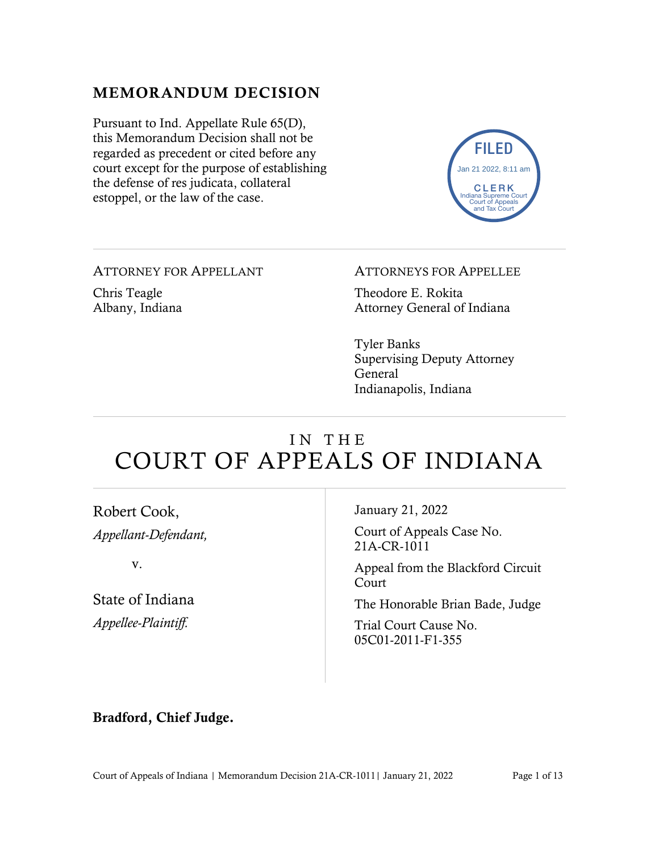#### MEMORANDUM DECISION

Pursuant to Ind. Appellate Rule 65(D), this Memorandum Decision shall not be regarded as precedent or cited before any court except for the purpose of establishing the defense of res judicata, collateral estoppel, or the law of the case.



ATTORNEY FOR APPELLANT Chris Teagle Albany, Indiana

#### ATTORNEYS FOR APPELLEE

Theodore E. Rokita Attorney General of Indiana

Tyler Banks Supervising Deputy Attorney General Indianapolis, Indiana

# IN THE COURT OF APPEALS OF INDIANA

| Robert Cook,         | January 21, 2022                           |
|----------------------|--------------------------------------------|
| Appellant-Defendant, | Court of Appeals Case No.<br>21A-CR-1011   |
| V.                   | Appeal from the Blackford Circuit<br>Court |
| State of Indiana     | The Honorable Brian Bade, Judge            |
| Appellee-Plaintiff.  | Trial Court Cause No.<br>05C01-2011-F1-355 |
|                      |                                            |

#### Bradford, Chief Judge.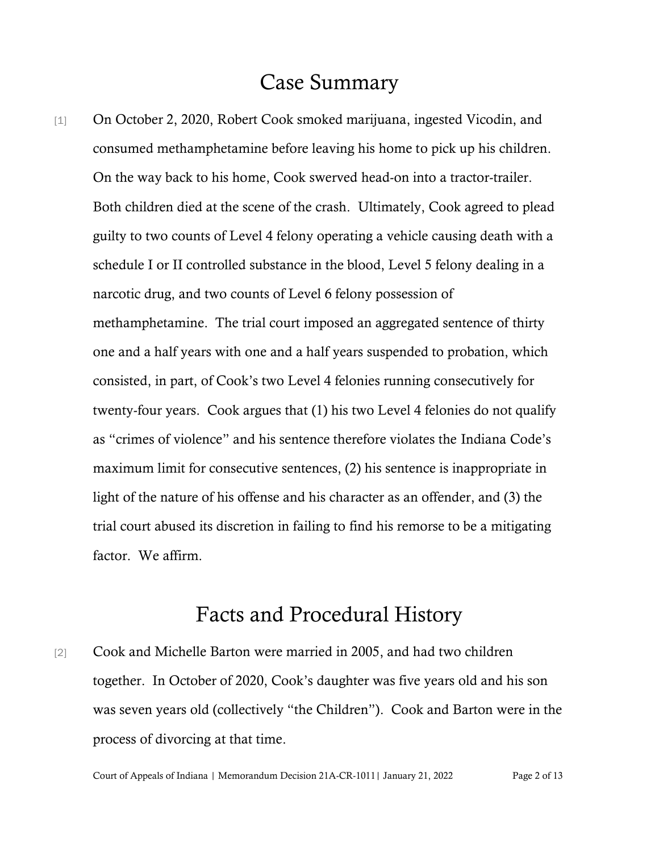# Case Summary

[1] On October 2, 2020, Robert Cook smoked marijuana, ingested Vicodin, and consumed methamphetamine before leaving his home to pick up his children. On the way back to his home, Cook swerved head-on into a tractor-trailer. Both children died at the scene of the crash. Ultimately, Cook agreed to plead guilty to two counts of Level 4 felony operating a vehicle causing death with a schedule I or II controlled substance in the blood, Level 5 felony dealing in a narcotic drug, and two counts of Level 6 felony possession of methamphetamine. The trial court imposed an aggregated sentence of thirty one and a half years with one and a half years suspended to probation, which consisted, in part, of Cook's two Level 4 felonies running consecutively for twenty-four years. Cook argues that (1) his two Level 4 felonies do not qualify as "crimes of violence" and his sentence therefore violates the Indiana Code's maximum limit for consecutive sentences, (2) his sentence is inappropriate in light of the nature of his offense and his character as an offender, and (3) the trial court abused its discretion in failing to find his remorse to be a mitigating factor. We affirm.

## Facts and Procedural History

[2] Cook and Michelle Barton were married in 2005, and had two children together. In October of 2020, Cook's daughter was five years old and his son was seven years old (collectively "the Children"). Cook and Barton were in the process of divorcing at that time.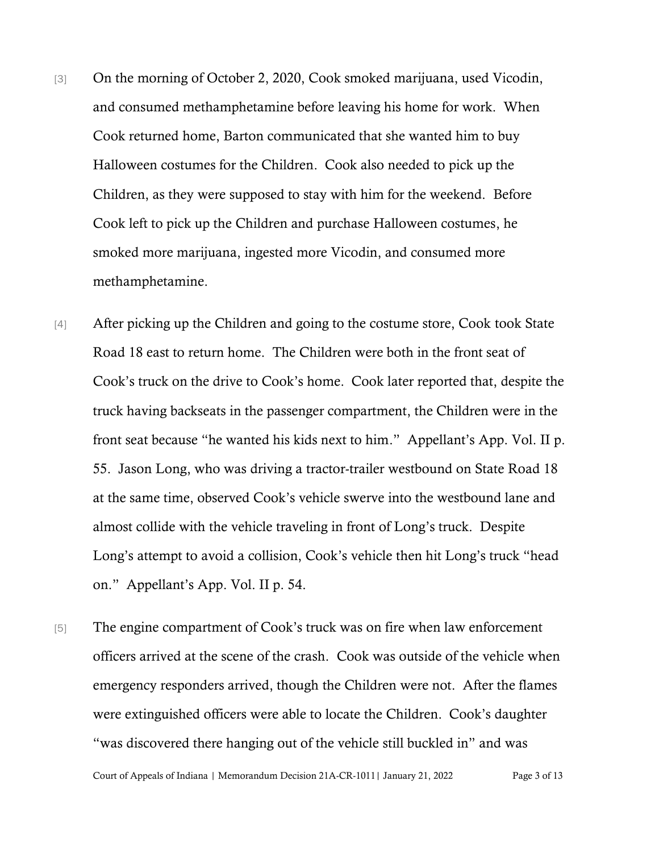- [3] On the morning of October 2, 2020, Cook smoked marijuana, used Vicodin, and consumed methamphetamine before leaving his home for work. When Cook returned home, Barton communicated that she wanted him to buy Halloween costumes for the Children. Cook also needed to pick up the Children, as they were supposed to stay with him for the weekend. Before Cook left to pick up the Children and purchase Halloween costumes, he smoked more marijuana, ingested more Vicodin, and consumed more methamphetamine.
- [4] After picking up the Children and going to the costume store, Cook took State Road 18 east to return home. The Children were both in the front seat of Cook's truck on the drive to Cook's home. Cook later reported that, despite the truck having backseats in the passenger compartment, the Children were in the front seat because "he wanted his kids next to him." Appellant's App. Vol. II p. 55. Jason Long, who was driving a tractor-trailer westbound on State Road 18 at the same time, observed Cook's vehicle swerve into the westbound lane and almost collide with the vehicle traveling in front of Long's truck. Despite Long's attempt to avoid a collision, Cook's vehicle then hit Long's truck "head on." Appellant's App. Vol. II p. 54.
- [5] The engine compartment of Cook's truck was on fire when law enforcement officers arrived at the scene of the crash. Cook was outside of the vehicle when emergency responders arrived, though the Children were not. After the flames were extinguished officers were able to locate the Children. Cook's daughter "was discovered there hanging out of the vehicle still buckled in" and was

Court of Appeals of Indiana | Memorandum Decision 21A-CR-1011| January 21, 2022 Page 3 of 13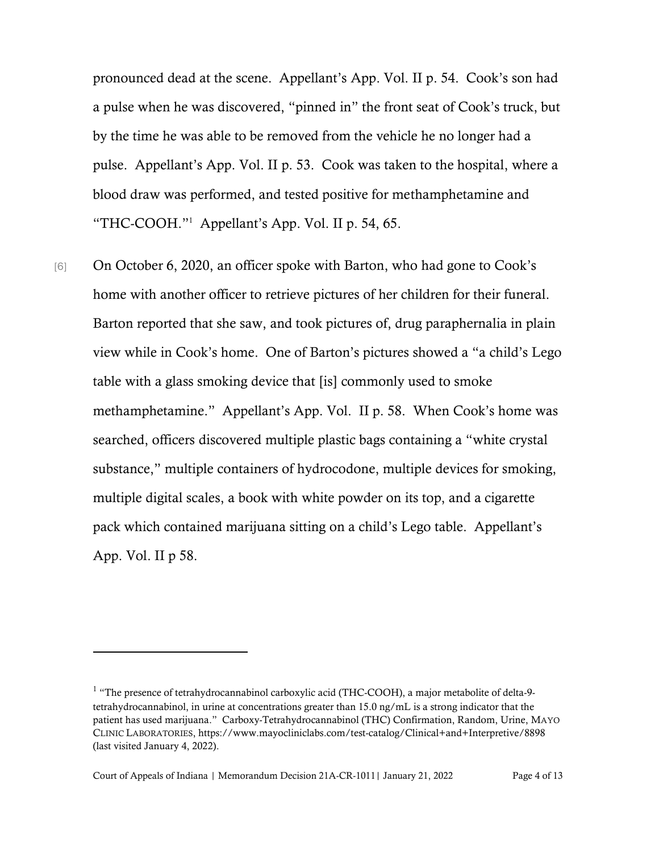pronounced dead at the scene. Appellant's App. Vol. II p. 54. Cook's son had a pulse when he was discovered, "pinned in" the front seat of Cook's truck, but by the time he was able to be removed from the vehicle he no longer had a pulse. Appellant's App. Vol. II p. 53. Cook was taken to the hospital, where a blood draw was performed, and tested positive for methamphetamine and "THC-COOH." <sup>1</sup> Appellant's App. Vol. II p. 54, 65.

[6] On October 6, 2020, an officer spoke with Barton, who had gone to Cook's home with another officer to retrieve pictures of her children for their funeral. Barton reported that she saw, and took pictures of, drug paraphernalia in plain view while in Cook's home. One of Barton's pictures showed a "a child's Lego table with a glass smoking device that [is] commonly used to smoke methamphetamine." Appellant's App. Vol. II p. 58. When Cook's home was searched, officers discovered multiple plastic bags containing a "white crystal substance," multiple containers of hydrocodone, multiple devices for smoking, multiple digital scales, a book with white powder on its top, and a cigarette pack which contained marijuana sitting on a child's Lego table. Appellant's App. Vol. II p 58.

Court of Appeals of Indiana | Memorandum Decision 21A-CR-1011| January 21, 2022 Page 4 of 13

<sup>&</sup>lt;sup>1</sup> "The presence of tetrahydrocannabinol carboxylic acid (THC-COOH), a major metabolite of delta-9tetrahydrocannabinol, in urine at concentrations greater than 15.0 ng/mL is a strong indicator that the patient has used marijuana." Carboxy-Tetrahydrocannabinol (THC) Confirmation, Random, Urine, MAYO CLINIC LABORATORIES, https://www.mayocliniclabs.com/test-catalog/Clinical+and+Interpretive/8898 (last visited January 4, 2022).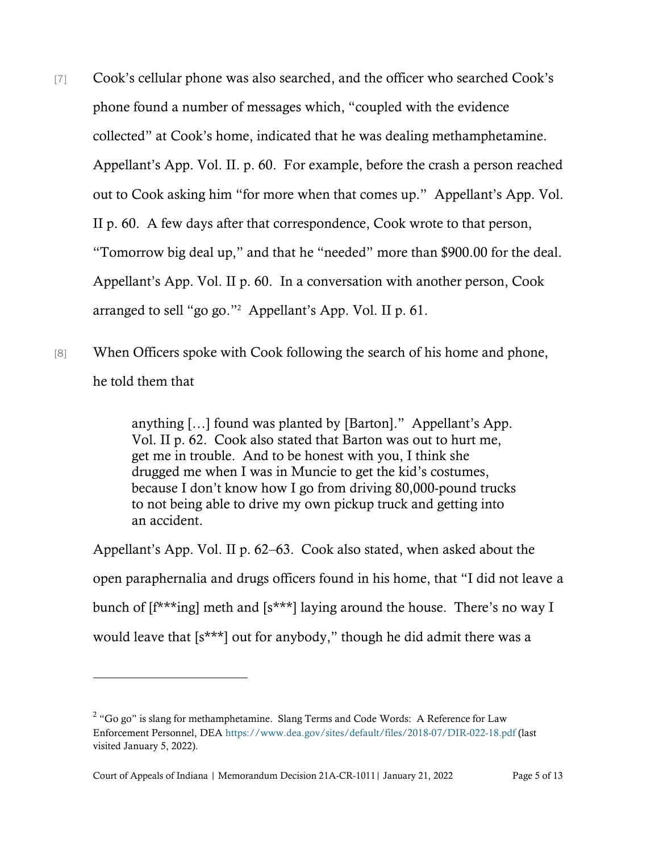- [7] Cook's cellular phone was also searched, and the officer who searched Cook's phone found a number of messages which, "coupled with the evidence collected" at Cook's home, indicated that he was dealing methamphetamine. Appellant's App. Vol. II. p. 60. For example, before the crash a person reached out to Cook asking him "for more when that comes up." Appellant's App. Vol. II p. 60. A few days after that correspondence, Cook wrote to that person, "Tomorrow big deal up," and that he "needed" more than \$900.00 for the deal. Appellant's App. Vol. II p. 60. In a conversation with another person, Cook arranged to sell "go go."<sup>2</sup> Appellant's App. Vol. II p. 61.
- [8] When Officers spoke with Cook following the search of his home and phone, he told them that

anything […] found was planted by [Barton]." Appellant's App. Vol. II p. 62. Cook also stated that Barton was out to hurt me, get me in trouble. And to be honest with you, I think she drugged me when I was in Muncie to get the kid's costumes, because I don't know how I go from driving 80,000-pound trucks to not being able to drive my own pickup truck and getting into an accident.

Appellant's App. Vol. II p. 62–63. Cook also stated, when asked about the open paraphernalia and drugs officers found in his home, that "I did not leave a bunch of [f\*\*\*ing] meth and [s\*\*\*] laying around the house. There's no way I would leave that [s\*\*\*] out for anybody," though he did admit there was a

 $2$  "Go go" is slang for methamphetamine. Slang Terms and Code Words: A Reference for Law Enforcement Personnel, DEA<https://www.dea.gov/sites/default/files/2018-07/DIR-022-18.pdf> (last visited January 5, 2022).

Court of Appeals of Indiana | Memorandum Decision 21A-CR-1011| January 21, 2022 Page 5 of 13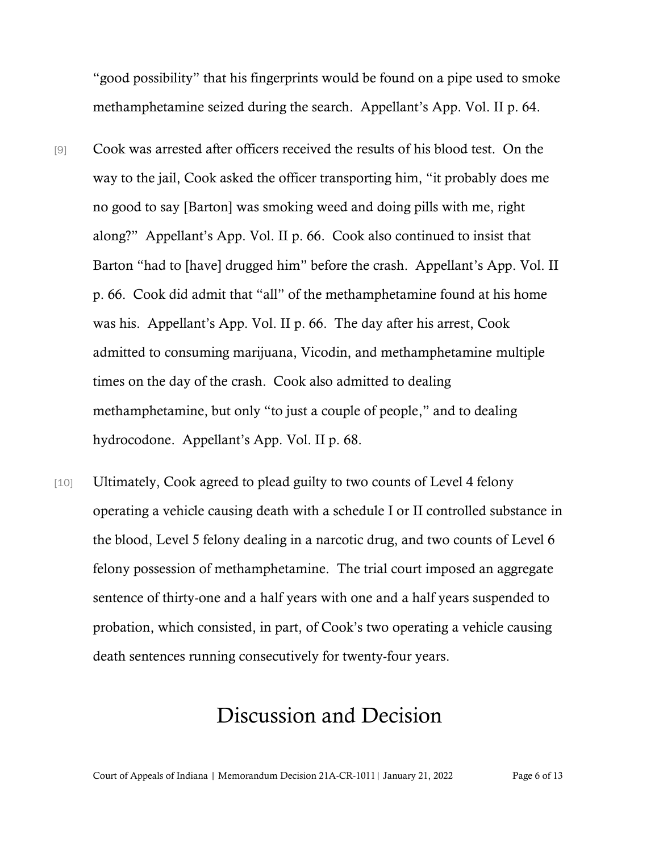"good possibility" that his fingerprints would be found on a pipe used to smoke methamphetamine seized during the search. Appellant's App. Vol. II p. 64.

- [9] Cook was arrested after officers received the results of his blood test. On the way to the jail, Cook asked the officer transporting him, "it probably does me no good to say [Barton] was smoking weed and doing pills with me, right along?" Appellant's App. Vol. II p. 66. Cook also continued to insist that Barton "had to [have] drugged him" before the crash. Appellant's App. Vol. II p. 66. Cook did admit that "all" of the methamphetamine found at his home was his. Appellant's App. Vol. II p. 66. The day after his arrest, Cook admitted to consuming marijuana, Vicodin, and methamphetamine multiple times on the day of the crash. Cook also admitted to dealing methamphetamine, but only "to just a couple of people," and to dealing hydrocodone. Appellant's App. Vol. II p. 68.
- [10] Ultimately, Cook agreed to plead guilty to two counts of Level 4 felony operating a vehicle causing death with a schedule I or II controlled substance in the blood, Level 5 felony dealing in a narcotic drug, and two counts of Level 6 felony possession of methamphetamine. The trial court imposed an aggregate sentence of thirty-one and a half years with one and a half years suspended to probation, which consisted, in part, of Cook's two operating a vehicle causing death sentences running consecutively for twenty-four years.

## Discussion and Decision

Court of Appeals of Indiana | Memorandum Decision 21A-CR-1011| January 21, 2022 Page 6 of 13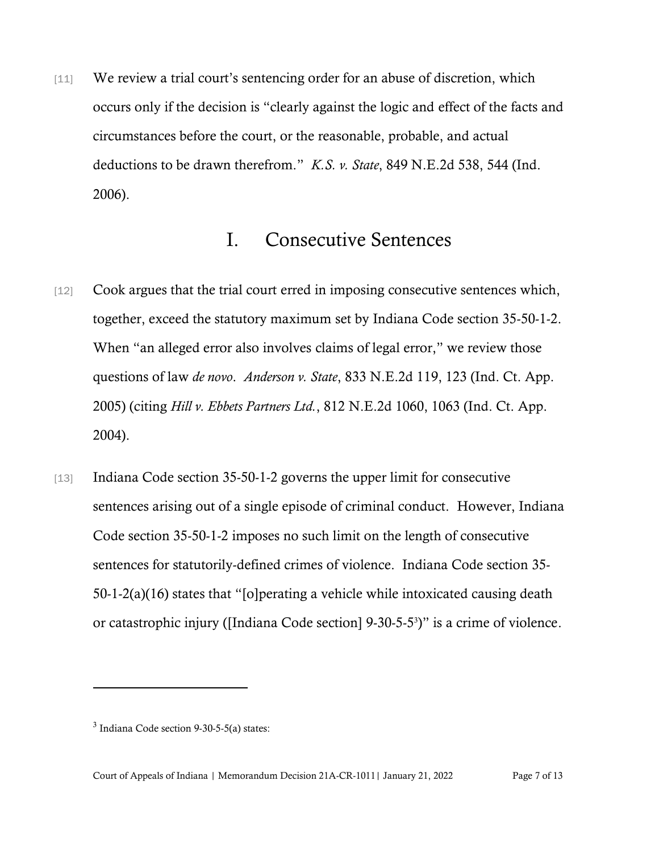[11] We review a trial court's sentencing order for an abuse of discretion, which occurs only if the decision is "clearly against the logic and effect of the facts and circumstances before the court, or the reasonable, probable, and actual deductions to be drawn therefrom." *K.S. v. State*, 849 N.E.2d 538, 544 (Ind. 2006).

#### I. Consecutive Sentences

- [12] Cook argues that the trial court erred in imposing consecutive sentences which, together, exceed the statutory maximum set by Indiana Code section 35-50-1-2. When "an alleged error also involves claims of legal error," we review those questions of law *de novo*. *Anderson v. State*, 833 N.E.2d 119, 123 (Ind. Ct. App. 2005) (citing *Hill v. Ebbets Partners Ltd.*, 812 N.E.2d 1060, 1063 (Ind. Ct. App. 2004).
- [13] Indiana Code section 35-50-1-2 governs the upper limit for consecutive sentences arising out of a single episode of criminal conduct. However, Indiana Code section 35-50-1-2 imposes no such limit on the length of consecutive sentences for statutorily-defined crimes of violence. Indiana Code section 35- 50-1-2(a)(16) states that "[o]perating a vehicle while intoxicated causing death or catastrophic injury ([Indiana Code section] 9-30-5-5<sup>3</sup>)" is a crime of violence.

 $3$  Indiana Code section 9-30-5-5(a) states: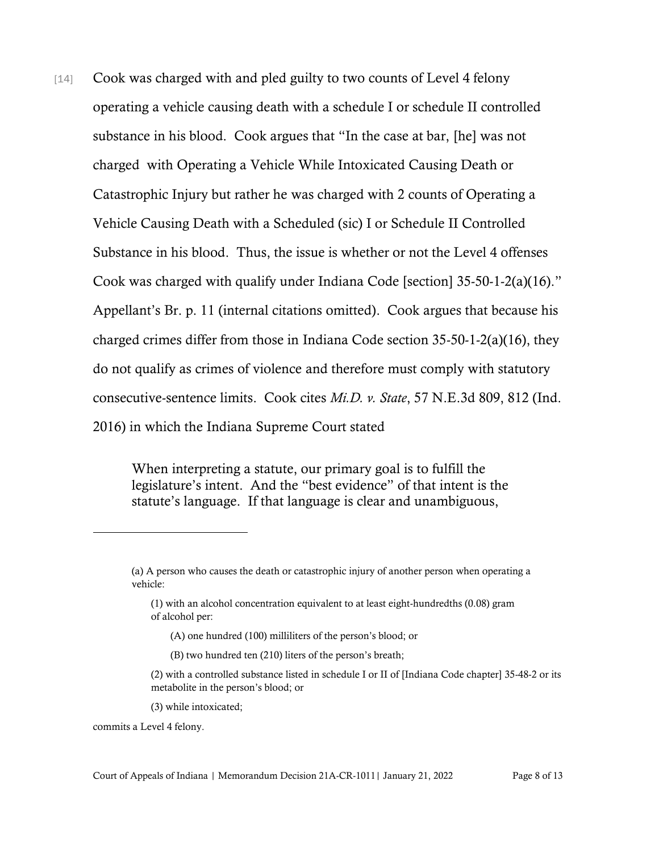[14] Cook was charged with and pled guilty to two counts of Level 4 felony operating a vehicle causing death with a schedule I or schedule II controlled substance in his blood. Cook argues that "In the case at bar, [he] was not charged with Operating a Vehicle While Intoxicated Causing Death or Catastrophic Injury but rather he was charged with 2 counts of Operating a Vehicle Causing Death with a Scheduled (sic) I or Schedule II Controlled Substance in his blood. Thus, the issue is whether or not the Level 4 offenses Cook was charged with qualify under Indiana Code [section] 35-50-1-2(a)(16)." Appellant's Br. p. 11 (internal citations omitted). Cook argues that because his charged crimes differ from those in Indiana Code section 35-50-1-2(a)(16), they do not qualify as crimes of violence and therefore must comply with statutory consecutive-sentence limits. Cook cites *Mi.D. v. State*, 57 N.E.3d 809, 812 (Ind. 2016) in which the Indiana Supreme Court stated

> When interpreting a statute, our primary goal is to fulfill the legislature's intent. And the "best evidence" of that intent is the statute's language. If that language is clear and unambiguous,

- (A) one hundred (100) milliliters of the person's blood; or
- (B) two hundred ten (210) liters of the person's breath;

(3) while intoxicated;

commits a Level 4 felony.

<sup>(</sup>a) A person who causes the death or catastrophic injury of another person when operating a vehicle:

<sup>(1)</sup> with an alcohol concentration equivalent to at least eight-hundredths (0.08) gram of alcohol per:

<sup>(2)</sup> with a controlled substance listed in schedule I or II of [Indiana Code chapter] 35-48-2 or its metabolite in the person's blood; or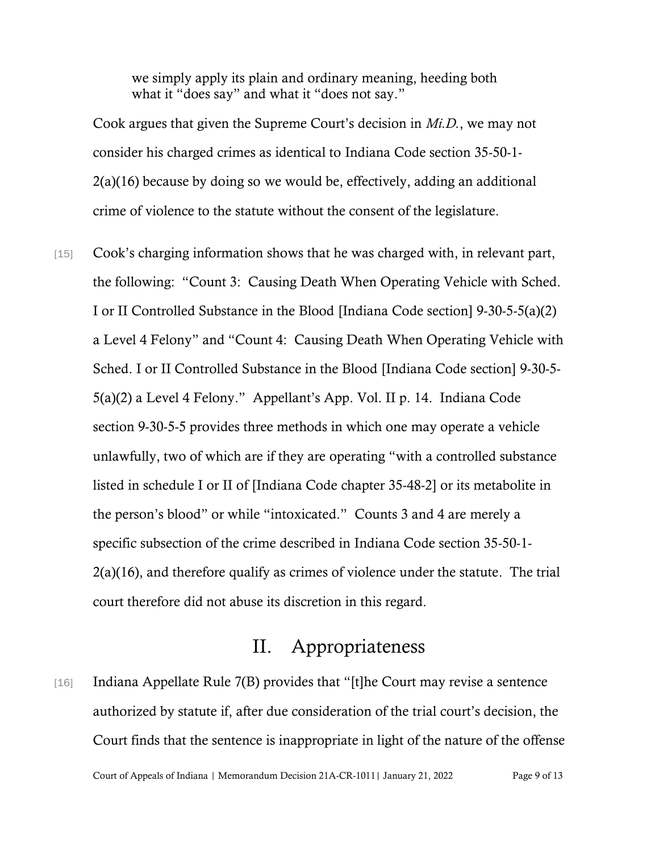we simply apply its plain and ordinary meaning, heeding both what it "does say" and what it "does not say."

Cook argues that given the Supreme Court's decision in *Mi.D.*, we may not consider his charged crimes as identical to Indiana Code section 35-50-1- 2(a)(16) because by doing so we would be, effectively, adding an additional crime of violence to the statute without the consent of the legislature.

[15] Cook's charging information shows that he was charged with, in relevant part, the following: "Count 3: Causing Death When Operating Vehicle with Sched. I or II Controlled Substance in the Blood [Indiana Code section] 9-30-5-5(a)(2) a Level 4 Felony" and "Count 4: Causing Death When Operating Vehicle with Sched. I or II Controlled Substance in the Blood [Indiana Code section] 9-30-5- 5(a)(2) a Level 4 Felony." Appellant's App. Vol. II p. 14. Indiana Code section 9-30-5-5 provides three methods in which one may operate a vehicle unlawfully, two of which are if they are operating "with a controlled substance listed in schedule I or II of [Indiana Code chapter 35-48-2] or its metabolite in the person's blood" or while "intoxicated." Counts 3 and 4 are merely a specific subsection of the crime described in Indiana Code section 35-50-1- 2(a)(16), and therefore qualify as crimes of violence under the statute. The trial court therefore did not abuse its discretion in this regard.

### II. Appropriateness

[16] Indiana Appellate Rule 7(B) provides that "[t]he Court may revise a sentence authorized by statute if, after due consideration of the trial court's decision, the Court finds that the sentence is inappropriate in light of the nature of the offense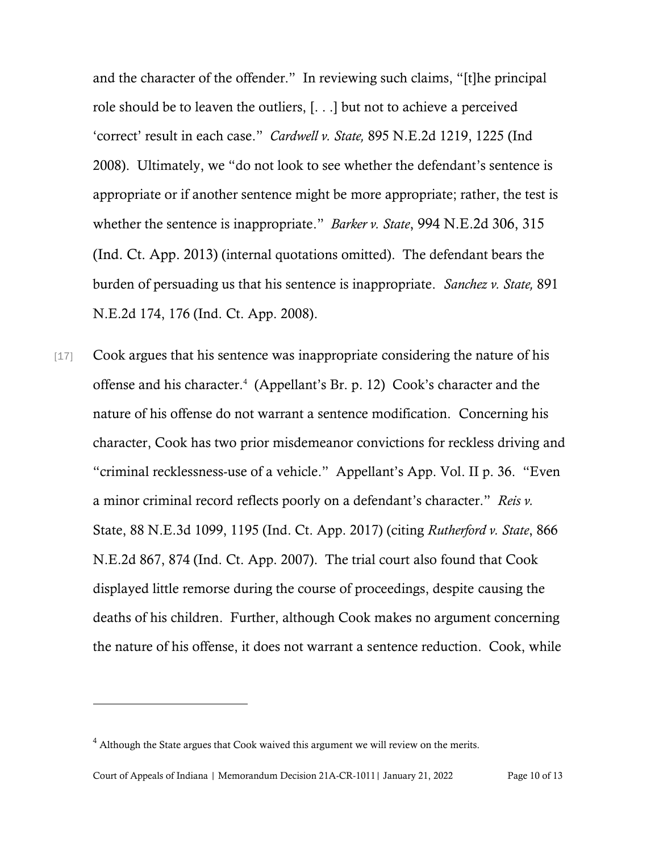and the character of the offender." In reviewing such claims, "[t]he principal role should be to leaven the outliers, [. . .] but not to achieve a perceived 'correct' result in each case." *Cardwell v. State,* 895 N.E.2d 1219, 1225 (Ind 2008). Ultimately, we "do not look to see whether the defendant's sentence is appropriate or if another sentence might be more appropriate; rather, the test is whether the sentence is inappropriate." *Barker v. State*, 994 N.E.2d 306, 315 (Ind. Ct. App. 2013) (internal quotations omitted). The defendant bears the burden of persuading us that his sentence is inappropriate. *Sanchez v. State,* 891 N.E.2d 174, 176 (Ind. Ct. App. 2008).

[17] Cook argues that his sentence was inappropriate considering the nature of his offense and his character.<sup>4</sup> (Appellant's Br. p. 12) Cook's character and the nature of his offense do not warrant a sentence modification. Concerning his character, Cook has two prior misdemeanor convictions for reckless driving and "criminal recklessness-use of a vehicle." Appellant's App. Vol. II p. 36. "Even a minor criminal record reflects poorly on a defendant's character." *Reis v.*  State, 88 N.E.3d 1099, 1195 (Ind. Ct. App. 2017) (citing *Rutherford v. State*, 866 N.E.2d 867, 874 (Ind. Ct. App. 2007). The trial court also found that Cook displayed little remorse during the course of proceedings, despite causing the deaths of his children. Further, although Cook makes no argument concerning the nature of his offense, it does not warrant a sentence reduction. Cook, while

<sup>&</sup>lt;sup>4</sup> Although the State argues that Cook waived this argument we will review on the merits.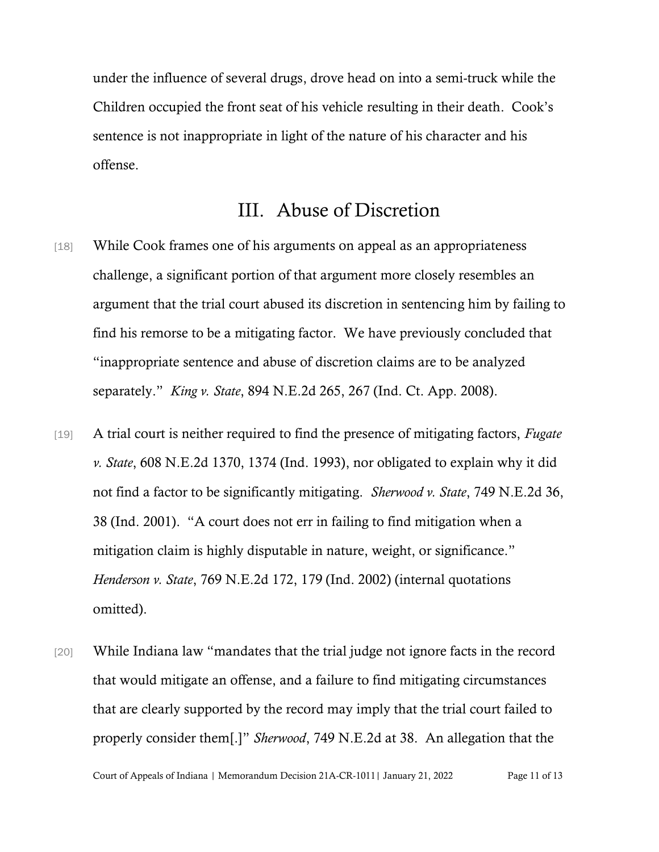under the influence of several drugs, drove head on into a semi-truck while the Children occupied the front seat of his vehicle resulting in their death. Cook's sentence is not inappropriate in light of the nature of his character and his offense.

#### III. Abuse of Discretion

- [18] While Cook frames one of his arguments on appeal as an appropriateness challenge, a significant portion of that argument more closely resembles an argument that the trial court abused its discretion in sentencing him by failing to find his remorse to be a mitigating factor. We have previously concluded that "inappropriate sentence and abuse of discretion claims are to be analyzed separately." *King v. State*, 894 N.E.2d 265, 267 (Ind. Ct. App. 2008).
- [19] A trial court is neither required to find the presence of mitigating factors, *Fugate v. State*, 608 N.E.2d 1370, 1374 (Ind. 1993), nor obligated to explain why it did not find a factor to be significantly mitigating. *Sherwood v. State*, 749 N.E.2d 36, 38 (Ind. 2001). "A court does not err in failing to find mitigation when a mitigation claim is highly disputable in nature, weight, or significance." *Henderson v. State*, 769 N.E.2d 172, 179 (Ind. 2002) (internal quotations omitted).
- [20] While Indiana law "mandates that the trial judge not ignore facts in the record that would mitigate an offense, and a failure to find mitigating circumstances that are clearly supported by the record may imply that the trial court failed to properly consider them[.]" *Sherwood*, 749 N.E.2d at 38. An allegation that the

Court of Appeals of Indiana | Memorandum Decision 21A-CR-1011| January 21, 2022 Page 11 of 13